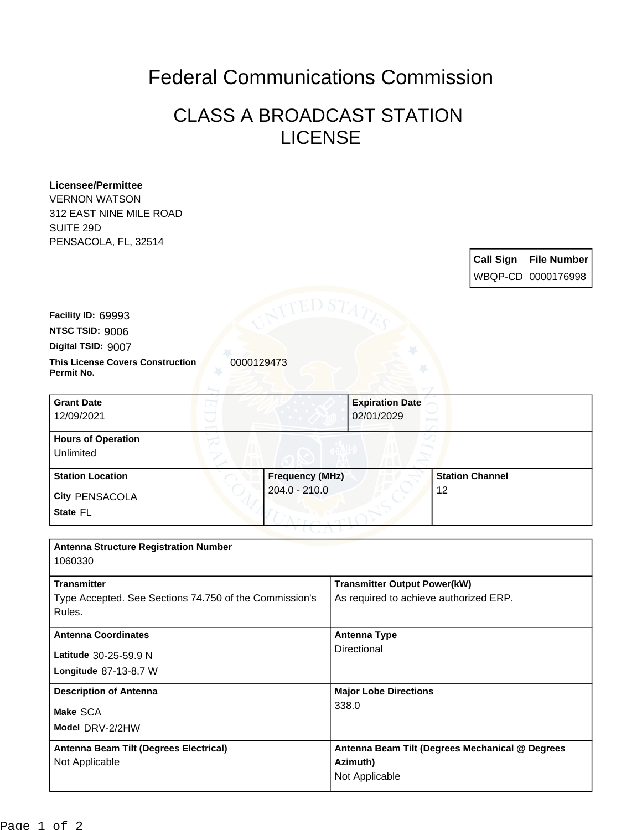## Federal Communications Commission

## CLASS A BROADCAST STATION LICENSE

| <b>Licensee/Permittee</b><br><b>VERNON WATSON</b>                   |                              |                                                 |  |
|---------------------------------------------------------------------|------------------------------|-------------------------------------------------|--|
| 312 EAST NINE MILE ROAD                                             |                              |                                                 |  |
| SUITE 29D                                                           |                              |                                                 |  |
| PENSACOLA, FL, 32514                                                |                              |                                                 |  |
|                                                                     |                              | <b>Call Sign</b><br><b>File Number</b>          |  |
|                                                                     |                              | WBQP-CD 0000176998                              |  |
| Facility ID: 69993                                                  | ED S7                        |                                                 |  |
| NTSC TSID: 9006                                                     |                              |                                                 |  |
| Digital TSID: 9007                                                  |                              |                                                 |  |
| <b>This License Covers Construction</b><br>0000129473<br>Permit No. |                              |                                                 |  |
| <b>Grant Date</b>                                                   | <b>Expiration Date</b>       |                                                 |  |
| 12/09/2021                                                          | 02/01/2029                   |                                                 |  |
| <b>Hours of Operation</b>                                           |                              |                                                 |  |
| <b>Unlimited</b>                                                    |                              |                                                 |  |
| <b>Station Location</b>                                             | <b>Frequency (MHz)</b>       | <b>Station Channel</b>                          |  |
| City PENSACOLA                                                      | $204.0 - 210.0$              | 12                                              |  |
| State FL                                                            |                              |                                                 |  |
|                                                                     |                              |                                                 |  |
| <b>Antenna Structure Registration Number</b><br>1060330             |                              |                                                 |  |
| <b>Transmitter</b>                                                  |                              | <b>Transmitter Output Power(kW)</b>             |  |
| Type Accepted. See Sections 74.750 of the Commission's<br>Rules.    |                              | As required to achieve authorized ERP.          |  |
| <b>Antenna Coordinates</b>                                          |                              | <b>Antenna Type</b>                             |  |
| Latitude 30-25-59.9 N                                               | Directional                  |                                                 |  |
| Longitude 87-13-8.7 W                                               |                              |                                                 |  |
| <b>Description of Antenna</b>                                       | <b>Major Lobe Directions</b> |                                                 |  |
| Make SCA                                                            | 338.0                        |                                                 |  |
| Model DRV-2/2HW                                                     |                              |                                                 |  |
| Antenna Beam Tilt (Degrees Electrical)                              |                              | Antenna Beam Tilt (Degrees Mechanical @ Degrees |  |
| Not Applicable                                                      | Azimuth)                     |                                                 |  |
|                                                                     | Not Applicable               |                                                 |  |